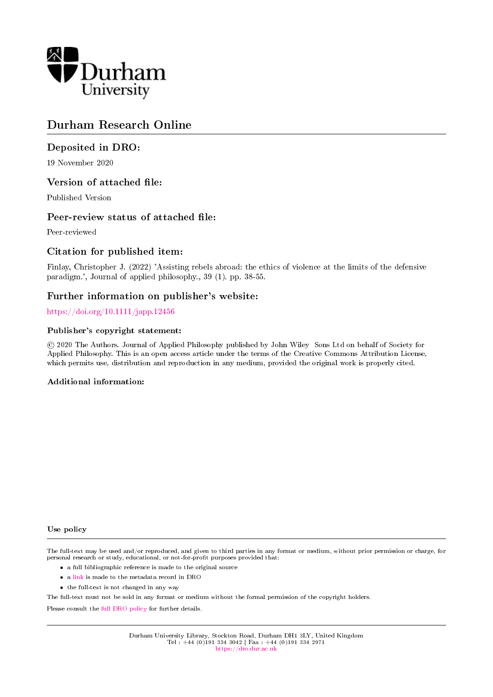

# Durham Research Online

## Deposited in DRO:

19 November 2020

## Version of attached file:

Published Version

## Peer-review status of attached file:

Peer-reviewed

## Citation for published item:

Finlay, Christopher J. (2022) 'Assisting rebels abroad: the ethics of violence at the limits of the defensive paradigm.', Journal of applied philosophy., 39 (1). pp. 38-55.

## Further information on publisher's website:

## <https://doi.org/10.1111/japp.12456>

## Publisher's copyright statement:

 c 2020 The Authors. Journal of Applied Philosophy published by John Wiley Sons Ltd on behalf of Society for Applied Philosophy. This is an open access article under the terms of the Creative Commons Attribution License, which permits use, distribution and reproduction in any medium, provided the original work is properly cited.

## Additional information:

## Use policy

The full-text may be used and/or reproduced, and given to third parties in any format or medium, without prior permission or charge, for personal research or study, educational, or not-for-profit purposes provided that:

- a full bibliographic reference is made to the original source
- a [link](http://dro.dur.ac.uk/31202/) is made to the metadata record in DRO
- the full-text is not changed in any way

The full-text must not be sold in any format or medium without the formal permission of the copyright holders.

Please consult the [full DRO policy](https://dro.dur.ac.uk/policies/usepolicy.pdf) for further details.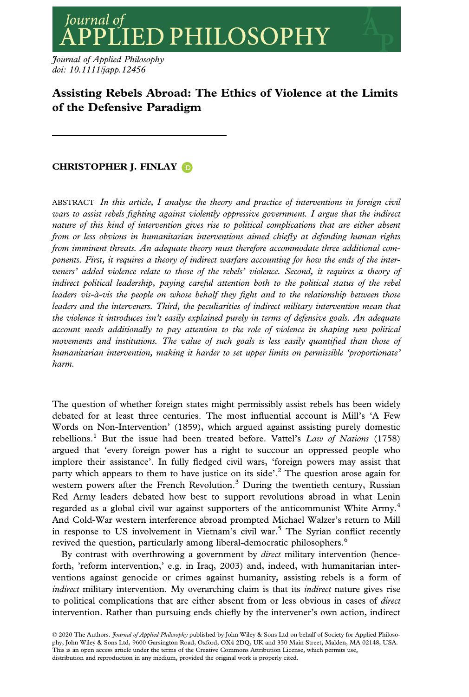

Journal of Applied Philosophy doi: 10.1111/japp.12456

## Assisting Rebels Abroad: The Ethics of Violence at the Limits of the Defensive Paradigm

## CHRISTOPHER J. FINLAY

ABSTRACT In this article, I analyse the theory and practice of interventions in foreign civil wars to assist rebels fighting against violently oppressive government. I argue that the indirect nature of this kind of intervention gives rise to political complications that are either absent from or less obvious in humanitarian interventions aimed chiefly at defending human rights from imminent threats. An adequate theory must therefore accommodate three additional components. First, it requires a theory of indirect warfare accounting for how the ends of the interveners' added violence relate to those of the rebels' violence. Second, it requires a theory of indirect political leadership, paying careful attention both to the political status of the rebel leaders vis-à-vis the people on whose behalf they fight and to the relationship between those leaders and the interveners. Third, the peculiarities of indirect military intervention mean that the violence it introduces isn't easily explained purely in terms of defensive goals. An adequate account needs additionally to pay attention to the role of violence in shaping new political movements and institutions. The value of such goals is less easily quantified than those of humanitarian intervention, making it harder to set upper limits on permissible 'proportionate' harm.

The question of whether foreign states might permissibly assist rebels has been widely debated for at least three centuries. The most influential account is Mill's 'A Few Words on Non-Intervention' (1859), which argued against assisting purely domestic rebellions.<sup>1</sup> But the issue had been treated before. Vattel's Law of Nations (1758) argued that 'every foreign power has a right to succour an oppressed people who implore their assistance'. In fully fledged civil wars, 'foreign powers may assist that party which appears to them to have justice on its side<sup>2</sup>.<sup>2</sup> The question arose again for western powers after the French Revolution.<sup>3</sup> During the twentieth century, Russian Red Army leaders debated how best to support revolutions abroad in what Lenin regarded as a global civil war against supporters of the anticommunist White Army.<sup>4</sup> And Cold-War western interference abroad prompted Michael Walzer's return to Mill in response to US involvement in Vietnam's civil war.<sup>5</sup> The Syrian conflict recently revived the question, particularly among liberal-democratic philosophers.<sup>6</sup>

By contrast with overthrowing a government by *direct* military intervention (henceforth, 'reform intervention,' e.g. in Iraq, 2003) and, indeed, with humanitarian interventions against genocide or crimes against humanity, assisting rebels is a form of indirect military intervention. My overarching claim is that its *indirect* nature gives rise to political complications that are either absent from or less obvious in cases of direct intervention. Rather than pursuing ends chiefly by the intervener's own action, indirect

© 2020 The Authors. *Journal of Applied Philosophy* published by John Wiley & Sons Ltd on behalf of Society for Applied Philosophy, John Wiley & Sons Ltd, 9600 Garsington Road, Oxford, OX4 2DQ, UK and 350 Main Street, Malden, MA 02148, USA. This is an open access article under the terms of the [Creative Commons Attribution](http://creativecommons.org/licenses/by/4.0/) License, which permits use, distribution and reproduction in any medium, provided the original work is properly cited.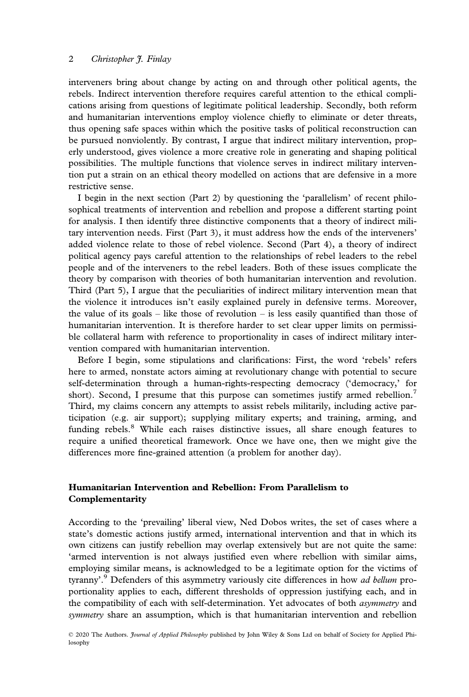interveners bring about change by acting on and through other political agents, the rebels. Indirect intervention therefore requires careful attention to the ethical complications arising from questions of legitimate political leadership. Secondly, both reform and humanitarian interventions employ violence chiefly to eliminate or deter threats, thus opening safe spaces within which the positive tasks of political reconstruction can be pursued nonviolently. By contrast, I argue that indirect military intervention, properly understood, gives violence a more creative role in generating and shaping political possibilities. The multiple functions that violence serves in indirect military intervention put a strain on an ethical theory modelled on actions that are defensive in a more restrictive sense.

I begin in the next section (Part 2) by questioning the 'parallelism' of recent philosophical treatments of intervention and rebellion and propose a different starting point for analysis. I then identify three distinctive components that a theory of indirect military intervention needs. First (Part 3), it must address how the ends of the interveners' added violence relate to those of rebel violence. Second (Part 4), a theory of indirect political agency pays careful attention to the relationships of rebel leaders to the rebel people and of the interveners to the rebel leaders. Both of these issues complicate the theory by comparison with theories of both humanitarian intervention and revolution. Third (Part 5), I argue that the peculiarities of indirect military intervention mean that the violence it introduces isn't easily explained purely in defensive terms. Moreover, the value of its goals – like those of revolution – is less easily quantified than those of humanitarian intervention. It is therefore harder to set clear upper limits on permissible collateral harm with reference to proportionality in cases of indirect military intervention compared with humanitarian intervention.

Before I begin, some stipulations and clarifications: First, the word 'rebels' refers here to armed, nonstate actors aiming at revolutionary change with potential to secure self-determination through a human-rights-respecting democracy ('democracy,' for short). Second, I presume that this purpose can sometimes justify armed rebellion.<sup>7</sup> Third, my claims concern any attempts to assist rebels militarily, including active participation (e.g. air support); supplying military experts; and training, arming, and funding rebels.<sup>8</sup> While each raises distinctive issues, all share enough features to require a unified theoretical framework. Once we have one, then we might give the differences more fine-grained attention (a problem for another day).

## Humanitarian Intervention and Rebellion: From Parallelism to Complementarity

According to the 'prevailing' liberal view, Ned Dobos writes, the set of cases where a state's domestic actions justify armed, international intervention and that in which its own citizens can justify rebellion may overlap extensively but are not quite the same: 'armed intervention is not always justified even where rebellion with similar aims, employing similar means, is acknowledged to be a legitimate option for the victims of tyranny'.<sup>9</sup> Defenders of this asymmetry variously cite differences in how ad bellum proportionality applies to each, different thresholds of oppression justifying each, and in the compatibility of each with self-determination. Yet advocates of both asymmetry and symmetry share an assumption, which is that humanitarian intervention and rebellion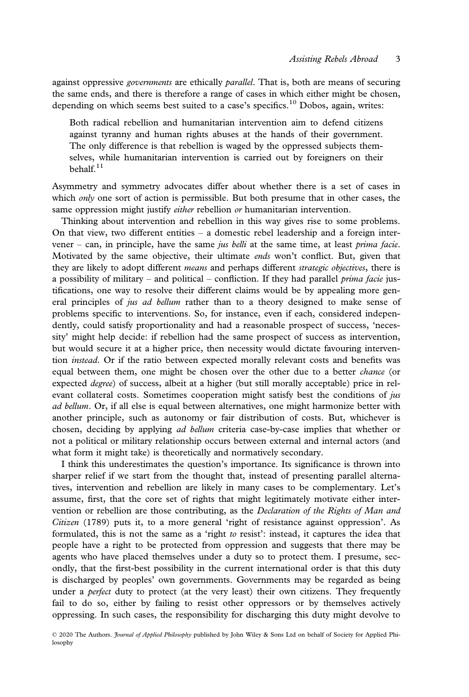against oppressive governments are ethically parallel. That is, both are means of securing the same ends, and there is therefore a range of cases in which either might be chosen, depending on which seems best suited to a case's specifics.<sup>10</sup> Dobos, again, writes:

Both radical rebellion and humanitarian intervention aim to defend citizens against tyranny and human rights abuses at the hands of their government. The only difference is that rebellion is waged by the oppressed subjects themselves, while humanitarian intervention is carried out by foreigners on their behalf.<sup>11</sup>

Asymmetry and symmetry advocates differ about whether there is a set of cases in which only one sort of action is permissible. But both presume that in other cases, the same oppression might justify *either* rebellion or humanitarian intervention.

Thinking about intervention and rebellion in this way gives rise to some problems. On that view, two different entities – a domestic rebel leadership and a foreign intervener – can, in principle, have the same *jus belli* at the same time, at least *prima facie*. Motivated by the same objective, their ultimate ends won't conflict. But, given that they are likely to adopt different means and perhaps different strategic objectives, there is a possibility of military – and political – confliction. If they had parallel *prima facie* justifications, one way to resolve their different claims would be by appealing more general principles of jus ad bellum rather than to a theory designed to make sense of problems specific to interventions. So, for instance, even if each, considered independently, could satisfy proportionality and had a reasonable prospect of success, 'necessity' might help decide: if rebellion had the same prospect of success as intervention, but would secure it at a higher price, then necessity would dictate favouring intervention instead. Or if the ratio between expected morally relevant costs and benefits was equal between them, one might be chosen over the other due to a better chance (or expected degree) of success, albeit at a higher (but still morally acceptable) price in relevant collateral costs. Sometimes cooperation might satisfy best the conditions of *jus* ad bellum. Or, if all else is equal between alternatives, one might harmonize better with another principle, such as autonomy or fair distribution of costs. But, whichever is chosen, deciding by applying ad bellum criteria case-by-case implies that whether or not a political or military relationship occurs between external and internal actors (and what form it might take) is theoretically and normatively secondary.

I think this underestimates the question's importance. Its significance is thrown into sharper relief if we start from the thought that, instead of presenting parallel alternatives, intervention and rebellion are likely in many cases to be complementary. Let's assume, first, that the core set of rights that might legitimately motivate either intervention or rebellion are those contributing, as the Declaration of the Rights of Man and Citizen (1789) puts it, to a more general 'right of resistance against oppression'. As formulated, this is not the same as a 'right to resist': instead, it captures the idea that people have a right to be protected from oppression and suggests that there may be agents who have placed themselves under a duty so to protect them. I presume, secondly, that the first-best possibility in the current international order is that this duty is discharged by peoples' own governments. Governments may be regarded as being under a *perfect* duty to protect (at the very least) their own citizens. They frequently fail to do so, either by failing to resist other oppressors or by themselves actively oppressing. In such cases, the responsibility for discharging this duty might devolve to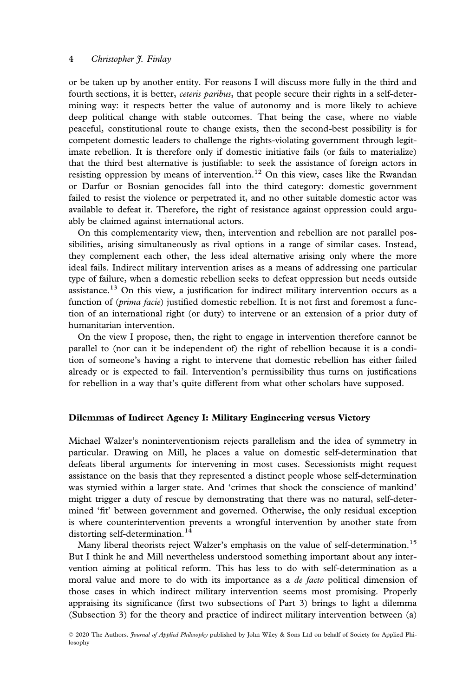or be taken up by another entity. For reasons I will discuss more fully in the third and fourth sections, it is better, *ceteris paribus*, that people secure their rights in a self-determining way: it respects better the value of autonomy and is more likely to achieve deep political change with stable outcomes. That being the case, where no viable peaceful, constitutional route to change exists, then the second-best possibility is for competent domestic leaders to challenge the rights-violating government through legitimate rebellion. It is therefore only if domestic initiative fails (or fails to materialize) that the third best alternative is justifiable: to seek the assistance of foreign actors in resisting oppression by means of intervention.<sup>12</sup> On this view, cases like the Rwandan or Darfur or Bosnian genocides fall into the third category: domestic government failed to resist the violence or perpetrated it, and no other suitable domestic actor was available to defeat it. Therefore, the right of resistance against oppression could arguably be claimed against international actors.

On this complementarity view, then, intervention and rebellion are not parallel possibilities, arising simultaneously as rival options in a range of similar cases. Instead, they complement each other, the less ideal alternative arising only where the more ideal fails. Indirect military intervention arises as a means of addressing one particular type of failure, when a domestic rebellion seeks to defeat oppression but needs outside assistance.<sup>13</sup> On this view, a justification for indirect military intervention occurs as a function of (*prima facie*) justified domestic rebellion. It is not first and foremost a function of an international right (or duty) to intervene or an extension of a prior duty of humanitarian intervention.

On the view I propose, then, the right to engage in intervention therefore cannot be parallel to (nor can it be independent of) the right of rebellion because it is a condition of someone's having a right to intervene that domestic rebellion has either failed already or is expected to fail. Intervention's permissibility thus turns on justifications for rebellion in a way that's quite different from what other scholars have supposed.

#### Dilemmas of Indirect Agency I: Military Engineering versus Victory

Michael Walzer's noninterventionism rejects parallelism and the idea of symmetry in particular. Drawing on Mill, he places a value on domestic self-determination that defeats liberal arguments for intervening in most cases. Secessionists might request assistance on the basis that they represented a distinct people whose self-determination was stymied within a larger state. And 'crimes that shock the conscience of mankind' might trigger a duty of rescue by demonstrating that there was no natural, self-determined 'fit' between government and governed. Otherwise, the only residual exception is where counterintervention prevents a wrongful intervention by another state from distorting self-determination.<sup>14</sup>

Many liberal theorists reject Walzer's emphasis on the value of self-determination.<sup>15</sup> But I think he and Mill nevertheless understood something important about any intervention aiming at political reform. This has less to do with self-determination as a moral value and more to do with its importance as a *de facto* political dimension of those cases in which indirect military intervention seems most promising. Properly appraising its significance (first two subsections of Part 3) brings to light a dilemma (Subsection 3) for the theory and practice of indirect military intervention between (a)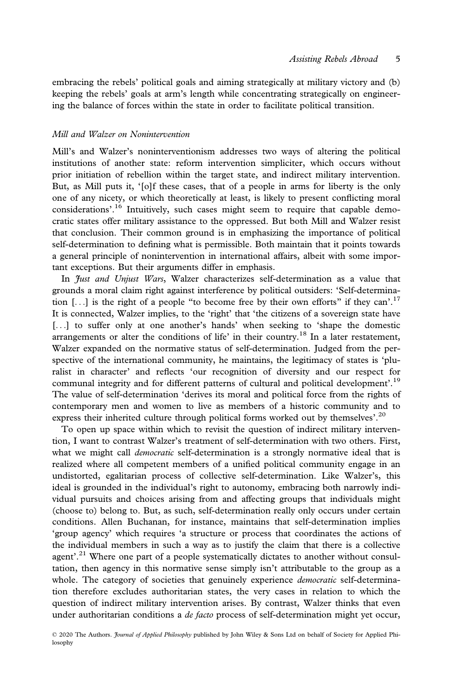embracing the rebels' political goals and aiming strategically at military victory and (b) keeping the rebels' goals at arm's length while concentrating strategically on engineering the balance of forces within the state in order to facilitate political transition.

#### Mill and Walzer on Nonintervention

Mill's and Walzer's noninterventionism addresses two ways of altering the political institutions of another state: reform intervention simpliciter, which occurs without prior initiation of rebellion within the target state, and indirect military intervention. But, as Mill puts it, '[o]f these cases, that of a people in arms for liberty is the only one of any nicety, or which theoretically at least, is likely to present conflicting moral considerations'.<sup>16</sup> Intuitively, such cases might seem to require that capable democratic states offer military assistance to the oppressed. But both Mill and Walzer resist that conclusion. Their common ground is in emphasizing the importance of political self-determination to defining what is permissible. Both maintain that it points towards a general principle of nonintervention in international affairs, albeit with some important exceptions. But their arguments differ in emphasis.

In *Just and Unjust Wars*, Walzer characterizes self-determination as a value that grounds a moral claim right against interference by political outsiders: 'Self-determination [...] is the right of a people "to become free by their own efforts" if they can'.<sup>17</sup> It is connected, Walzer implies, to the 'right' that 'the citizens of a sovereign state have [...] to suffer only at one another's hands' when seeking to 'shape the domestic arrangements or alter the conditions of life' in their country.<sup>18</sup> In a later restatement, Walzer expanded on the normative status of self-determination. Judged from the perspective of the international community, he maintains, the legitimacy of states is 'pluralist in character' and reflects 'our recognition of diversity and our respect for communal integrity and for different patterns of cultural and political development'.<sup>19</sup> The value of self-determination 'derives its moral and political force from the rights of contemporary men and women to live as members of a historic community and to express their inherited culture through political forms worked out by themselves'.<sup>20</sup>

To open up space within which to revisit the question of indirect military intervention, I want to contrast Walzer's treatment of self-determination with two others. First, what we might call *democratic* self-determination is a strongly normative ideal that is realized where all competent members of a unified political community engage in an undistorted, egalitarian process of collective self-determination. Like Walzer's, this ideal is grounded in the individual's right to autonomy, embracing both narrowly individual pursuits and choices arising from and affecting groups that individuals might (choose to) belong to. But, as such, self-determination really only occurs under certain conditions. Allen Buchanan, for instance, maintains that self-determination implies 'group agency' which requires 'a structure or process that coordinates the actions of the individual members in such a way as to justify the claim that there is a collective agent'.<sup>21</sup> Where one part of a people systematically dictates to another without consultation, then agency in this normative sense simply isn't attributable to the group as a whole. The category of societies that genuinely experience *democratic* self-determination therefore excludes authoritarian states, the very cases in relation to which the question of indirect military intervention arises. By contrast, Walzer thinks that even under authoritarian conditions a *de facto* process of self-determination might yet occur,

<sup>© 2020</sup> The Authors. Journal of Applied Philosophy published by John Wiley & Sons Ltd on behalf of Society for Applied Philosophy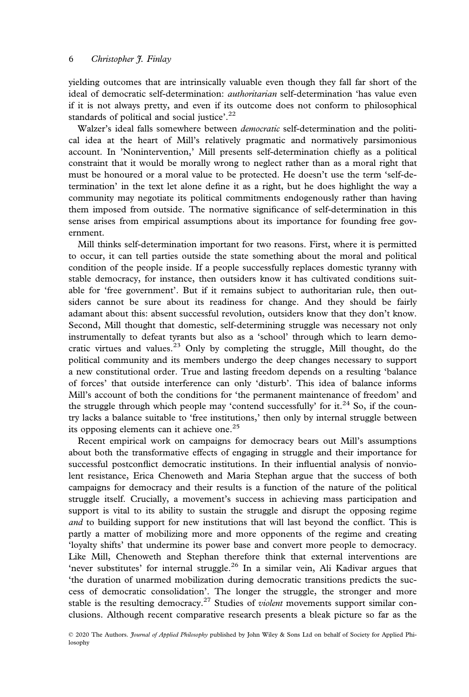yielding outcomes that are intrinsically valuable even though they fall far short of the ideal of democratic self-determination: *authoritarian* self-determination 'has value even if it is not always pretty, and even if its outcome does not conform to philosophical standards of political and social justice'.<sup>22</sup>

Walzer's ideal falls somewhere between *democratic* self-determination and the political idea at the heart of Mill's relatively pragmatic and normatively parsimonious account. In 'Nonintervention,' Mill presents self-determination chiefly as a political constraint that it would be morally wrong to neglect rather than as a moral right that must be honoured or a moral value to be protected. He doesn't use the term 'self-determination' in the text let alone define it as a right, but he does highlight the way a community may negotiate its political commitments endogenously rather than having them imposed from outside. The normative significance of self-determination in this sense arises from empirical assumptions about its importance for founding free government.

Mill thinks self-determination important for two reasons. First, where it is permitted to occur, it can tell parties outside the state something about the moral and political condition of the people inside. If a people successfully replaces domestic tyranny with stable democracy, for instance, then outsiders know it has cultivated conditions suitable for 'free government'. But if it remains subject to authoritarian rule, then outsiders cannot be sure about its readiness for change. And they should be fairly adamant about this: absent successful revolution, outsiders know that they don't know. Second, Mill thought that domestic, self-determining struggle was necessary not only instrumentally to defeat tyrants but also as a 'school' through which to learn democratic virtues and values.<sup>23</sup> Only by completing the struggle, Mill thought, do the political community and its members undergo the deep changes necessary to support a new constitutional order. True and lasting freedom depends on a resulting 'balance of forces' that outside interference can only 'disturb'. This idea of balance informs Mill's account of both the conditions for 'the permanent maintenance of freedom' and the struggle through which people may 'contend successfully' for it.<sup>24</sup> So, if the country lacks a balance suitable to 'free institutions,' then only by internal struggle between its opposing elements can it achieve one.<sup>25</sup>

Recent empirical work on campaigns for democracy bears out Mill's assumptions about both the transformative effects of engaging in struggle and their importance for successful postconflict democratic institutions. In their influential analysis of nonviolent resistance, Erica Chenoweth and Maria Stephan argue that the success of both campaigns for democracy and their results is a function of the nature of the political struggle itself. Crucially, a movement's success in achieving mass participation and support is vital to its ability to sustain the struggle and disrupt the opposing regime and to building support for new institutions that will last beyond the conflict. This is partly a matter of mobilizing more and more opponents of the regime and creating 'loyalty shifts' that undermine its power base and convert more people to democracy. Like Mill, Chenoweth and Stephan therefore think that external interventions are 'never substitutes' for internal struggle.<sup>26</sup> In a similar vein, Ali Kadivar argues that 'the duration of unarmed mobilization during democratic transitions predicts the success of democratic consolidation'. The longer the struggle, the stronger and more stable is the resulting democracy.<sup>27</sup> Studies of *violent* movements support similar conclusions. Although recent comparative research presents a bleak picture so far as the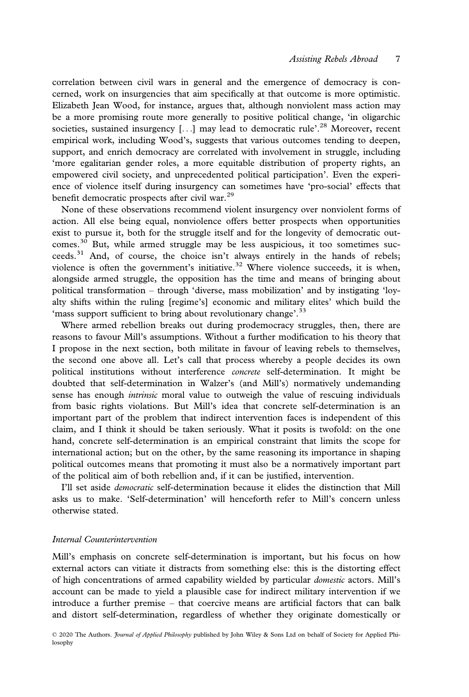correlation between civil wars in general and the emergence of democracy is concerned, work on insurgencies that aim specifically at that outcome is more optimistic. Elizabeth Jean Wood, for instance, argues that, although nonviolent mass action may be a more promising route more generally to positive political change, 'in oligarchic societies, sustained insurgency [...] may lead to democratic rule<sup>228</sup> Moreover, recent empirical work, including Wood's, suggests that various outcomes tending to deepen, support, and enrich democracy are correlated with involvement in struggle, including 'more egalitarian gender roles, a more equitable distribution of property rights, an empowered civil society, and unprecedented political participation'. Even the experience of violence itself during insurgency can sometimes have 'pro-social' effects that benefit democratic prospects after civil war.<sup>29</sup>

None of these observations recommend violent insurgency over nonviolent forms of action. All else being equal, nonviolence offers better prospects when opportunities exist to pursue it, both for the struggle itself and for the longevity of democratic outcomes.<sup>30</sup> But, while armed struggle may be less auspicious, it too sometimes succeeds.<sup>31</sup> And, of course, the choice isn't always entirely in the hands of rebels; violence is often the government's initiative.<sup>32</sup> Where violence succeeds, it is when, alongside armed struggle, the opposition has the time and means of bringing about political transformation – through 'diverse, mass mobilization' and by instigating 'loyalty shifts within the ruling [regime's] economic and military elites' which build the 'mass support sufficient to bring about revolutionary change'.<sup>33</sup>

Where armed rebellion breaks out during prodemocracy struggles, then, there are reasons to favour Mill's assumptions. Without a further modification to his theory that I propose in the next section, both militate in favour of leaving rebels to themselves, the second one above all. Let's call that process whereby a people decides its own political institutions without interference concrete self-determination. It might be doubted that self-determination in Walzer's (and Mill's) normatively undemanding sense has enough intrinsic moral value to outweigh the value of rescuing individuals from basic rights violations. But Mill's idea that concrete self-determination is an important part of the problem that indirect intervention faces is independent of this claim, and I think it should be taken seriously. What it posits is twofold: on the one hand, concrete self-determination is an empirical constraint that limits the scope for international action; but on the other, by the same reasoning its importance in shaping political outcomes means that promoting it must also be a normatively important part of the political aim of both rebellion and, if it can be justified, intervention.

I'll set aside democratic self-determination because it elides the distinction that Mill asks us to make. 'Self-determination' will henceforth refer to Mill's concern unless otherwise stated.

### Internal Counterintervention

Mill's emphasis on concrete self-determination is important, but his focus on how external actors can vitiate it distracts from something else: this is the distorting effect of high concentrations of armed capability wielded by particular domestic actors. Mill's account can be made to yield a plausible case for indirect military intervention if we introduce a further premise – that coercive means are artificial factors that can balk and distort self-determination, regardless of whether they originate domestically or

<sup>© 2020</sup> The Authors. *Journal of Applied Philosophy* published by John Wiley & Sons Ltd on behalf of Society for Applied Philosophy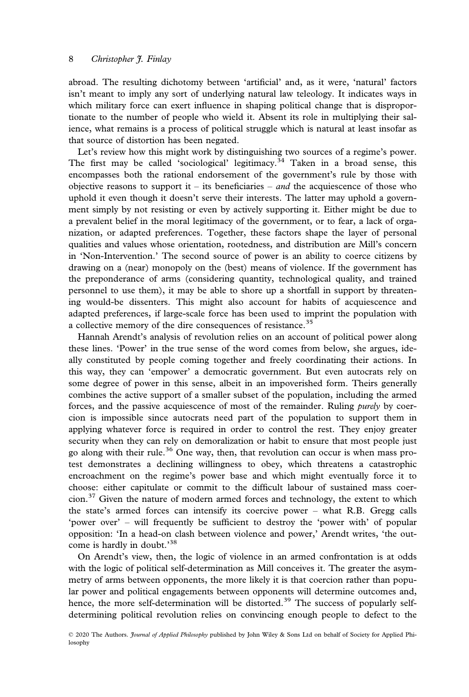abroad. The resulting dichotomy between 'artificial' and, as it were, 'natural' factors isn't meant to imply any sort of underlying natural law teleology. It indicates ways in which military force can exert influence in shaping political change that is disproportionate to the number of people who wield it. Absent its role in multiplying their salience, what remains is a process of political struggle which is natural at least insofar as that source of distortion has been negated.

Let's review how this might work by distinguishing two sources of a regime's power. The first may be called 'sociological' legitimacy.<sup>34</sup> Taken in a broad sense, this encompasses both the rational endorsement of the government's rule by those with objective reasons to support it – its beneficiaries – and the acquiescence of those who uphold it even though it doesn't serve their interests. The latter may uphold a government simply by not resisting or even by actively supporting it. Either might be due to a prevalent belief in the moral legitimacy of the government, or to fear, a lack of organization, or adapted preferences. Together, these factors shape the layer of personal qualities and values whose orientation, rootedness, and distribution are Mill's concern in 'Non-Intervention.' The second source of power is an ability to coerce citizens by drawing on a (near) monopoly on the (best) means of violence. If the government has the preponderance of arms (considering quantity, technological quality, and trained personnel to use them), it may be able to shore up a shortfall in support by threatening would-be dissenters. This might also account for habits of acquiescence and adapted preferences, if large-scale force has been used to imprint the population with a collective memory of the dire consequences of resistance.<sup>35</sup>

Hannah Arendt's analysis of revolution relies on an account of political power along these lines. 'Power' in the true sense of the word comes from below, she argues, ideally constituted by people coming together and freely coordinating their actions. In this way, they can 'empower' a democratic government. But even autocrats rely on some degree of power in this sense, albeit in an impoverished form. Theirs generally combines the active support of a smaller subset of the population, including the armed forces, and the passive acquiescence of most of the remainder. Ruling purely by coercion is impossible since autocrats need part of the population to support them in applying whatever force is required in order to control the rest. They enjoy greater security when they can rely on demoralization or habit to ensure that most people just go along with their rule.<sup>36</sup> One way, then, that revolution can occur is when mass protest demonstrates a declining willingness to obey, which threatens a catastrophic encroachment on the regime's power base and which might eventually force it to choose: either capitulate or commit to the difficult labour of sustained mass coercion.<sup>37</sup> Given the nature of modern armed forces and technology, the extent to which the state's armed forces can intensify its coercive power – what R.B. Gregg calls 'power over' – will frequently be sufficient to destroy the 'power with' of popular opposition: 'In a head-on clash between violence and power,' Arendt writes, 'the outcome is hardly in doubt.'38

On Arendt's view, then, the logic of violence in an armed confrontation is at odds with the logic of political self-determination as Mill conceives it. The greater the asymmetry of arms between opponents, the more likely it is that coercion rather than popular power and political engagements between opponents will determine outcomes and, hence, the more self-determination will be distorted.<sup>39</sup> The success of popularly selfdetermining political revolution relies on convincing enough people to defect to the

<sup>© 2020</sup> The Authors. *Journal of Applied Philosophy* published by John Wiley & Sons Ltd on behalf of Society for Applied Philosophy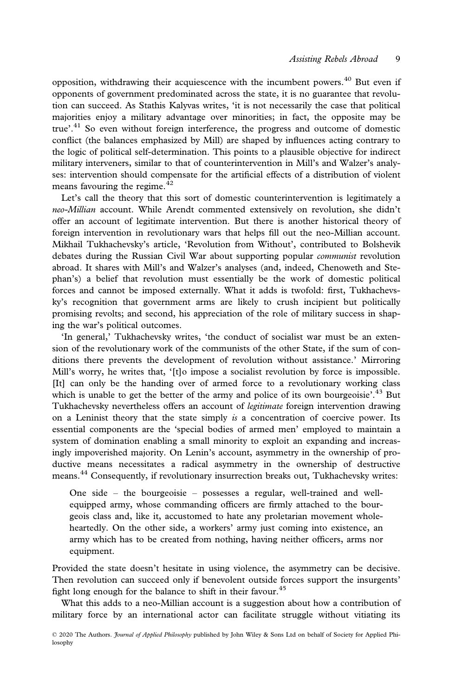opposition, withdrawing their acquiescence with the incumbent powers.<sup>40</sup> But even if opponents of government predominated across the state, it is no guarantee that revolution can succeed. As Stathis Kalyvas writes, 'it is not necessarily the case that political majorities enjoy a military advantage over minorities; in fact, the opposite may be true'.<sup>41</sup> So even without foreign interference, the progress and outcome of domestic conflict (the balances emphasized by Mill) are shaped by influences acting contrary to the logic of political self-determination. This points to a plausible objective for indirect military interveners, similar to that of counterintervention in Mill's and Walzer's analyses: intervention should compensate for the artificial effects of a distribution of violent means favouring the regime.<sup>42</sup>

Let's call the theory that this sort of domestic counterintervention is legitimately a neo-Millian account. While Arendt commented extensively on revolution, she didn't offer an account of legitimate intervention. But there is another historical theory of foreign intervention in revolutionary wars that helps fill out the neo-Millian account. Mikhail Tukhachevsky's article, 'Revolution from Without', contributed to Bolshevik debates during the Russian Civil War about supporting popular communist revolution abroad. It shares with Mill's and Walzer's analyses (and, indeed, Chenoweth and Stephan's) a belief that revolution must essentially be the work of domestic political forces and cannot be imposed externally. What it adds is twofold: first, Tukhachevsky's recognition that government arms are likely to crush incipient but politically promising revolts; and second, his appreciation of the role of military success in shaping the war's political outcomes.

'In general,' Tukhachevsky writes, 'the conduct of socialist war must be an extension of the revolutionary work of the communists of the other State, if the sum of conditions there prevents the development of revolution without assistance.' Mirroring Mill's worry, he writes that, '[t]o impose a socialist revolution by force is impossible. [It] can only be the handing over of armed force to a revolutionary working class which is unable to get the better of the army and police of its own bourgeoisie'.<sup>43</sup> But Tukhachevsky nevertheless offers an account of legitimate foreign intervention drawing on a Leninist theory that the state simply  $is$  a concentration of coercive power. Its essential components are the 'special bodies of armed men' employed to maintain a system of domination enabling a small minority to exploit an expanding and increasingly impoverished majority. On Lenin's account, asymmetry in the ownership of productive means necessitates a radical asymmetry in the ownership of destructive means.<sup>44</sup> Consequently, if revolutionary insurrection breaks out, Tukhachevsky writes:

One side – the bourgeoisie – possesses a regular, well-trained and wellequipped army, whose commanding officers are firmly attached to the bourgeois class and, like it, accustomed to hate any proletarian movement wholeheartedly. On the other side, a workers' army just coming into existence, an army which has to be created from nothing, having neither officers, arms nor equipment.

Provided the state doesn't hesitate in using violence, the asymmetry can be decisive. Then revolution can succeed only if benevolent outside forces support the insurgents' fight long enough for the balance to shift in their favour.<sup>45</sup>

What this adds to a neo-Millian account is a suggestion about how a contribution of military force by an international actor can facilitate struggle without vitiating its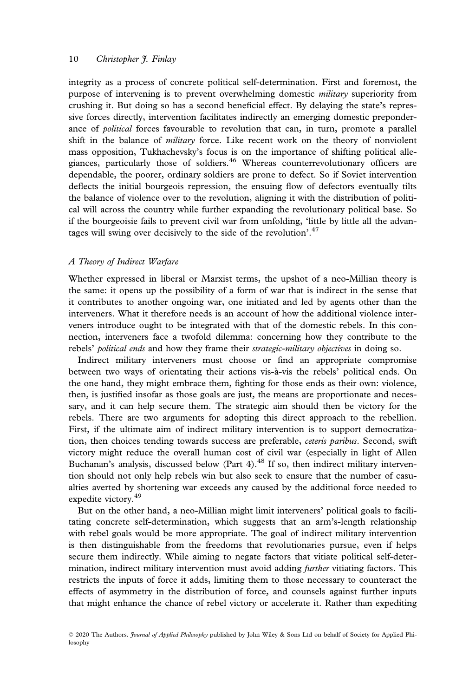integrity as a process of concrete political self-determination. First and foremost, the purpose of intervening is to prevent overwhelming domestic military superiority from crushing it. But doing so has a second beneficial effect. By delaying the state's repressive forces directly, intervention facilitates indirectly an emerging domestic preponderance of *political* forces favourable to revolution that can, in turn, promote a parallel shift in the balance of *military* force. Like recent work on the theory of nonviolent mass opposition, Tukhachevsky's focus is on the importance of shifting political allegiances, particularly those of soldiers.<sup>46</sup> Whereas counterrevolutionary officers are dependable, the poorer, ordinary soldiers are prone to defect. So if Soviet intervention deflects the initial bourgeois repression, the ensuing flow of defectors eventually tilts the balance of violence over to the revolution, aligning it with the distribution of political will across the country while further expanding the revolutionary political base. So if the bourgeoisie fails to prevent civil war from unfolding, 'little by little all the advantages will swing over decisively to the side of the revolution'.<sup>47</sup>

#### A Theory of Indirect Warfare

Whether expressed in liberal or Marxist terms, the upshot of a neo-Millian theory is the same: it opens up the possibility of a form of war that is indirect in the sense that it contributes to another ongoing war, one initiated and led by agents other than the interveners. What it therefore needs is an account of how the additional violence interveners introduce ought to be integrated with that of the domestic rebels. In this connection, interveners face a twofold dilemma: concerning how they contribute to the rebels' political ends and how they frame their strategic-military objectives in doing so.

Indirect military interveners must choose or find an appropriate compromise between two ways of orientating their actions vis-à-vis the rebels' political ends. On the one hand, they might embrace them, fighting for those ends as their own: violence, then, is justified insofar as those goals are just, the means are proportionate and necessary, and it can help secure them. The strategic aim should then be victory for the rebels. There are two arguments for adopting this direct approach to the rebellion. First, if the ultimate aim of indirect military intervention is to support democratization, then choices tending towards success are preferable, *ceteris paribus*. Second, swift victory might reduce the overall human cost of civil war (especially in light of Allen Buchanan's analysis, discussed below (Part 4).<sup>48</sup> If so, then indirect military intervention should not only help rebels win but also seek to ensure that the number of casualties averted by shortening war exceeds any caused by the additional force needed to expedite victory.<sup>49</sup>

But on the other hand, a neo-Millian might limit interveners' political goals to facilitating concrete self-determination, which suggests that an arm's-length relationship with rebel goals would be more appropriate. The goal of indirect military intervention is then distinguishable from the freedoms that revolutionaries pursue, even if helps secure them indirectly. While aiming to negate factors that vitiate political self-determination, indirect military intervention must avoid adding further vitiating factors. This restricts the inputs of force it adds, limiting them to those necessary to counteract the effects of asymmetry in the distribution of force, and counsels against further inputs that might enhance the chance of rebel victory or accelerate it. Rather than expediting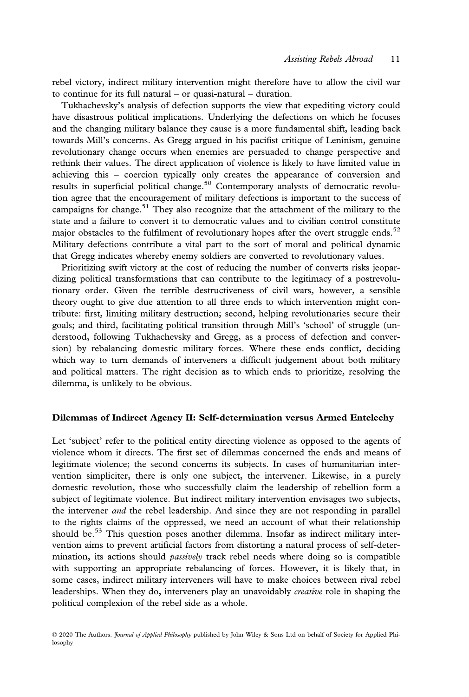rebel victory, indirect military intervention might therefore have to allow the civil war to continue for its full natural – or quasi-natural – duration.

Tukhachevsky's analysis of defection supports the view that expediting victory could have disastrous political implications. Underlying the defections on which he focuses and the changing military balance they cause is a more fundamental shift, leading back towards Mill's concerns. As Gregg argued in his pacifist critique of Leninism, genuine revolutionary change occurs when enemies are persuaded to change perspective and rethink their values. The direct application of violence is likely to have limited value in achieving this – coercion typically only creates the appearance of conversion and results in superficial political change.<sup>50</sup> Contemporary analysts of democratic revolution agree that the encouragement of military defections is important to the success of campaigns for change.<sup>51</sup> They also recognize that the attachment of the military to the state and a failure to convert it to democratic values and to civilian control constitute major obstacles to the fulfilment of revolutionary hopes after the overt struggle ends.<sup>52</sup> Military defections contribute a vital part to the sort of moral and political dynamic that Gregg indicates whereby enemy soldiers are converted to revolutionary values.

Prioritizing swift victory at the cost of reducing the number of converts risks jeopardizing political transformations that can contribute to the legitimacy of a postrevolutionary order. Given the terrible destructiveness of civil wars, however, a sensible theory ought to give due attention to all three ends to which intervention might contribute: first, limiting military destruction; second, helping revolutionaries secure their goals; and third, facilitating political transition through Mill's 'school' of struggle (understood, following Tukhachevsky and Gregg, as a process of defection and conversion) by rebalancing domestic military forces. Where these ends conflict, deciding which way to turn demands of interveners a difficult judgement about both military and political matters. The right decision as to which ends to prioritize, resolving the dilemma, is unlikely to be obvious.

#### Dilemmas of Indirect Agency II: Self-determination versus Armed Entelechy

Let 'subject' refer to the political entity directing violence as opposed to the agents of violence whom it directs. The first set of dilemmas concerned the ends and means of legitimate violence; the second concerns its subjects. In cases of humanitarian intervention simpliciter, there is only one subject, the intervener. Likewise, in a purely domestic revolution, those who successfully claim the leadership of rebellion form a subject of legitimate violence. But indirect military intervention envisages two subjects, the intervener and the rebel leadership. And since they are not responding in parallel to the rights claims of the oppressed, we need an account of what their relationship should be.<sup>53</sup> This question poses another dilemma. Insofar as indirect military intervention aims to prevent artificial factors from distorting a natural process of self-determination, its actions should *passively* track rebel needs where doing so is compatible with supporting an appropriate rebalancing of forces. However, it is likely that, in some cases, indirect military interveners will have to make choices between rival rebel leaderships. When they do, interveners play an unavoidably creative role in shaping the political complexion of the rebel side as a whole.

<sup>© 2020</sup> The Authors. Journal of Applied Philosophy published by John Wiley & Sons Ltd on behalf of Society for Applied Philosophy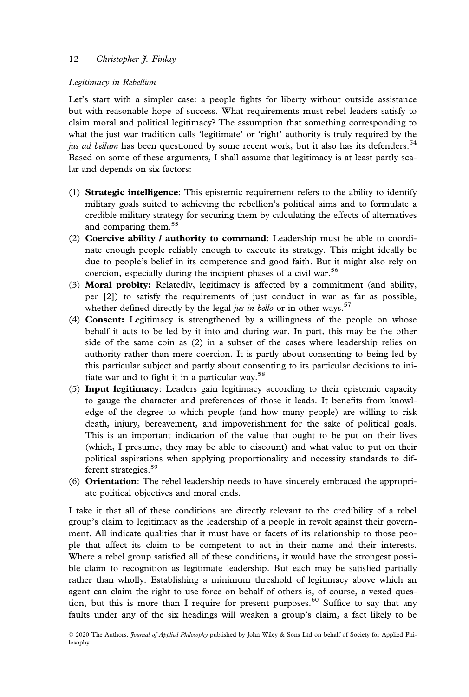### Legitimacy in Rebellion

Let's start with a simpler case: a people fights for liberty without outside assistance but with reasonable hope of success. What requirements must rebel leaders satisfy to claim moral and political legitimacy? The assumption that something corresponding to what the just war tradition calls 'legitimate' or 'right' authority is truly required by the jus ad bellum has been questioned by some recent work, but it also has its defenders.<sup>54</sup> Based on some of these arguments, I shall assume that legitimacy is at least partly scalar and depends on six factors:

- (1) Strategic intelligence: This epistemic requirement refers to the ability to identify military goals suited to achieving the rebellion's political aims and to formulate a credible military strategy for securing them by calculating the effects of alternatives and comparing them.<sup>55</sup>
- (2) Coercive ability / authority to command: Leadership must be able to coordinate enough people reliably enough to execute its strategy. This might ideally be due to people's belief in its competence and good faith. But it might also rely on coercion, especially during the incipient phases of a civil war.<sup>56</sup>
- (3) Moral probity: Relatedly, legitimacy is affected by a commitment (and ability, per [2]) to satisfy the requirements of just conduct in war as far as possible, whether defined directly by the legal jus in bello or in other ways.<sup>57</sup>
- (4) Consent: Legitimacy is strengthened by a willingness of the people on whose behalf it acts to be led by it into and during war. In part, this may be the other side of the same coin as (2) in a subset of the cases where leadership relies on authority rather than mere coercion. It is partly about consenting to being led by this particular subject and partly about consenting to its particular decisions to initiate war and to fight it in a particular way.<sup>58</sup>
- (5) Input legitimacy: Leaders gain legitimacy according to their epistemic capacity to gauge the character and preferences of those it leads. It benefits from knowledge of the degree to which people (and how many people) are willing to risk death, injury, bereavement, and impoverishment for the sake of political goals. This is an important indication of the value that ought to be put on their lives (which, I presume, they may be able to discount) and what value to put on their political aspirations when applying proportionality and necessity standards to different strategies.<sup>59</sup>
- (6) Orientation: The rebel leadership needs to have sincerely embraced the appropriate political objectives and moral ends.

I take it that all of these conditions are directly relevant to the credibility of a rebel group's claim to legitimacy as the leadership of a people in revolt against their government. All indicate qualities that it must have or facets of its relationship to those people that affect its claim to be competent to act in their name and their interests. Where a rebel group satisfied all of these conditions, it would have the strongest possible claim to recognition as legitimate leadership. But each may be satisfied partially rather than wholly. Establishing a minimum threshold of legitimacy above which an agent can claim the right to use force on behalf of others is, of course, a vexed question, but this is more than I require for present purposes.<sup>60</sup> Suffice to say that any faults under any of the six headings will weaken a group's claim, a fact likely to be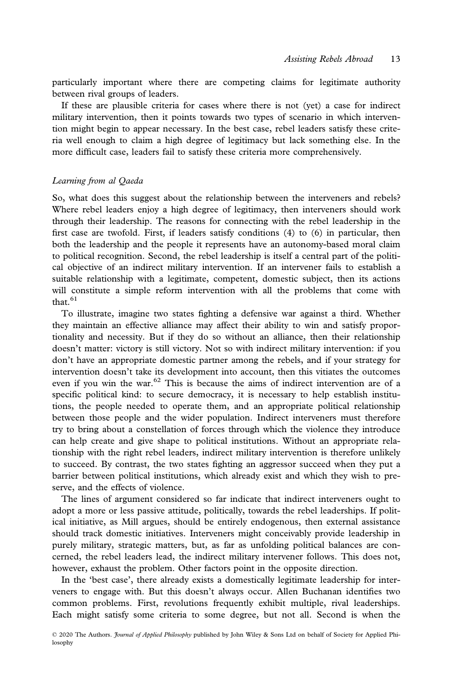particularly important where there are competing claims for legitimate authority between rival groups of leaders.

If these are plausible criteria for cases where there is not (yet) a case for indirect military intervention, then it points towards two types of scenario in which intervention might begin to appear necessary. In the best case, rebel leaders satisfy these criteria well enough to claim a high degree of legitimacy but lack something else. In the more difficult case, leaders fail to satisfy these criteria more comprehensively.

#### Learning from al Qaeda

So, what does this suggest about the relationship between the interveners and rebels? Where rebel leaders enjoy a high degree of legitimacy, then interveners should work through their leadership. The reasons for connecting with the rebel leadership in the first case are twofold. First, if leaders satisfy conditions (4) to (6) in particular, then both the leadership and the people it represents have an autonomy-based moral claim to political recognition. Second, the rebel leadership is itself a central part of the political objective of an indirect military intervention. If an intervener fails to establish a suitable relationship with a legitimate, competent, domestic subject, then its actions will constitute a simple reform intervention with all the problems that come with that. $61$ 

To illustrate, imagine two states fighting a defensive war against a third. Whether they maintain an effective alliance may affect their ability to win and satisfy proportionality and necessity. But if they do so without an alliance, then their relationship doesn't matter: victory is still victory. Not so with indirect military intervention: if you don't have an appropriate domestic partner among the rebels, and if your strategy for intervention doesn't take its development into account, then this vitiates the outcomes even if you win the war.<sup>62</sup> This is because the aims of indirect intervention are of a specific political kind: to secure democracy, it is necessary to help establish institutions, the people needed to operate them, and an appropriate political relationship between those people and the wider population. Indirect interveners must therefore try to bring about a constellation of forces through which the violence they introduce can help create and give shape to political institutions. Without an appropriate relationship with the right rebel leaders, indirect military intervention is therefore unlikely to succeed. By contrast, the two states fighting an aggressor succeed when they put a barrier between political institutions, which already exist and which they wish to preserve, and the effects of violence.

The lines of argument considered so far indicate that indirect interveners ought to adopt a more or less passive attitude, politically, towards the rebel leaderships. If political initiative, as Mill argues, should be entirely endogenous, then external assistance should track domestic initiatives. Interveners might conceivably provide leadership in purely military, strategic matters, but, as far as unfolding political balances are concerned, the rebel leaders lead, the indirect military intervener follows. This does not, however, exhaust the problem. Other factors point in the opposite direction.

In the 'best case', there already exists a domestically legitimate leadership for interveners to engage with. But this doesn't always occur. Allen Buchanan identifies two common problems. First, revolutions frequently exhibit multiple, rival leaderships. Each might satisfy some criteria to some degree, but not all. Second is when the

<sup>© 2020</sup> The Authors. Journal of Applied Philosophy published by John Wiley & Sons Ltd on behalf of Society for Applied Philosophy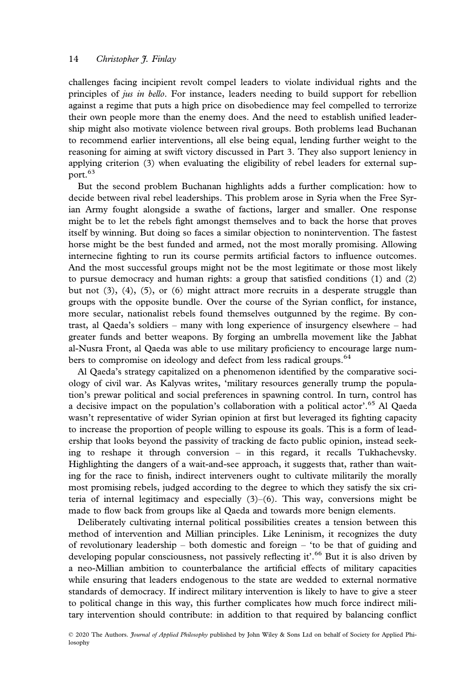challenges facing incipient revolt compel leaders to violate individual rights and the principles of jus in bello. For instance, leaders needing to build support for rebellion against a regime that puts a high price on disobedience may feel compelled to terrorize their own people more than the enemy does. And the need to establish unified leadership might also motivate violence between rival groups. Both problems lead Buchanan to recommend earlier interventions, all else being equal, lending further weight to the reasoning for aiming at swift victory discussed in Part 3. They also support leniency in applying criterion (3) when evaluating the eligibility of rebel leaders for external support.<sup>63</sup>

But the second problem Buchanan highlights adds a further complication: how to decide between rival rebel leaderships. This problem arose in Syria when the Free Syrian Army fought alongside a swathe of factions, larger and smaller. One response might be to let the rebels fight amongst themselves and to back the horse that proves itself by winning. But doing so faces a similar objection to nonintervention. The fastest horse might be the best funded and armed, not the most morally promising. Allowing internecine fighting to run its course permits artificial factors to influence outcomes. And the most successful groups might not be the most legitimate or those most likely to pursue democracy and human rights: a group that satisfied conditions (1) and (2) but not  $(3)$ ,  $(4)$ ,  $(5)$ , or  $(6)$  might attract more recruits in a desperate struggle than groups with the opposite bundle. Over the course of the Syrian conflict, for instance, more secular, nationalist rebels found themselves outgunned by the regime. By contrast, al Qaeda's soldiers – many with long experience of insurgency elsewhere – had greater funds and better weapons. By forging an umbrella movement like the Jabhat al-Nusra Front, al Qaeda was able to use military proficiency to encourage large numbers to compromise on ideology and defect from less radical groups.<sup>64</sup>

Al Qaeda's strategy capitalized on a phenomenon identified by the comparative sociology of civil war. As Kalyvas writes, 'military resources generally trump the population's prewar political and social preferences in spawning control. In turn, control has a decisive impact on the population's collaboration with a political actor'.<sup>65</sup> Al Qaeda wasn't representative of wider Syrian opinion at first but leveraged its fighting capacity to increase the proportion of people willing to espouse its goals. This is a form of leadership that looks beyond the passivity of tracking de facto public opinion, instead seeking to reshape it through conversion – in this regard, it recalls Tukhachevsky. Highlighting the dangers of a wait-and-see approach, it suggests that, rather than waiting for the race to finish, indirect interveners ought to cultivate militarily the morally most promising rebels, judged according to the degree to which they satisfy the six criteria of internal legitimacy and especially  $(3)$ – $(6)$ . This way, conversions might be made to flow back from groups like al Qaeda and towards more benign elements.

Deliberately cultivating internal political possibilities creates a tension between this method of intervention and Millian principles. Like Leninism, it recognizes the duty of revolutionary leadership – both domestic and foreign – 'to be that of guiding and developing popular consciousness, not passively reflecting it'.<sup>66</sup> But it is also driven by a neo-Millian ambition to counterbalance the artificial effects of military capacities while ensuring that leaders endogenous to the state are wedded to external normative standards of democracy. If indirect military intervention is likely to have to give a steer to political change in this way, this further complicates how much force indirect military intervention should contribute: in addition to that required by balancing conflict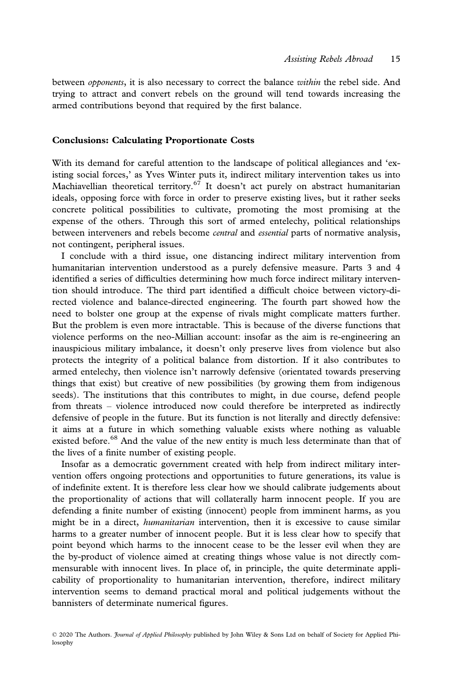between opponents, it is also necessary to correct the balance within the rebel side. And trying to attract and convert rebels on the ground will tend towards increasing the armed contributions beyond that required by the first balance.

#### Conclusions: Calculating Proportionate Costs

With its demand for careful attention to the landscape of political allegiances and 'existing social forces,' as Yves Winter puts it, indirect military intervention takes us into Machiavellian theoretical territory.<sup>67</sup> It doesn't act purely on abstract humanitarian ideals, opposing force with force in order to preserve existing lives, but it rather seeks concrete political possibilities to cultivate, promoting the most promising at the expense of the others. Through this sort of armed entelechy, political relationships between interveners and rebels become central and essential parts of normative analysis, not contingent, peripheral issues.

I conclude with a third issue, one distancing indirect military intervention from humanitarian intervention understood as a purely defensive measure. Parts 3 and 4 identified a series of difficulties determining how much force indirect military intervention should introduce. The third part identified a difficult choice between victory-directed violence and balance-directed engineering. The fourth part showed how the need to bolster one group at the expense of rivals might complicate matters further. But the problem is even more intractable. This is because of the diverse functions that violence performs on the neo-Millian account: insofar as the aim is re-engineering an inauspicious military imbalance, it doesn't only preserve lives from violence but also protects the integrity of a political balance from distortion. If it also contributes to armed entelechy, then violence isn't narrowly defensive (orientated towards preserving things that exist) but creative of new possibilities (by growing them from indigenous seeds). The institutions that this contributes to might, in due course, defend people from threats – violence introduced now could therefore be interpreted as indirectly defensive of people in the future. But its function is not literally and directly defensive: it aims at a future in which something valuable exists where nothing as valuable existed before.<sup>68</sup> And the value of the new entity is much less determinate than that of the lives of a finite number of existing people.

Insofar as a democratic government created with help from indirect military intervention offers ongoing protections and opportunities to future generations, its value is of indefinite extent. It is therefore less clear how we should calibrate judgements about the proportionality of actions that will collaterally harm innocent people. If you are defending a finite number of existing (innocent) people from imminent harms, as you might be in a direct, humanitarian intervention, then it is excessive to cause similar harms to a greater number of innocent people. But it is less clear how to specify that point beyond which harms to the innocent cease to be the lesser evil when they are the by-product of violence aimed at creating things whose value is not directly commensurable with innocent lives. In place of, in principle, the quite determinate applicability of proportionality to humanitarian intervention, therefore, indirect military intervention seems to demand practical moral and political judgements without the bannisters of determinate numerical figures.

<sup>© 2020</sup> The Authors. Journal of Applied Philosophy published by John Wiley & Sons Ltd on behalf of Society for Applied Philosophy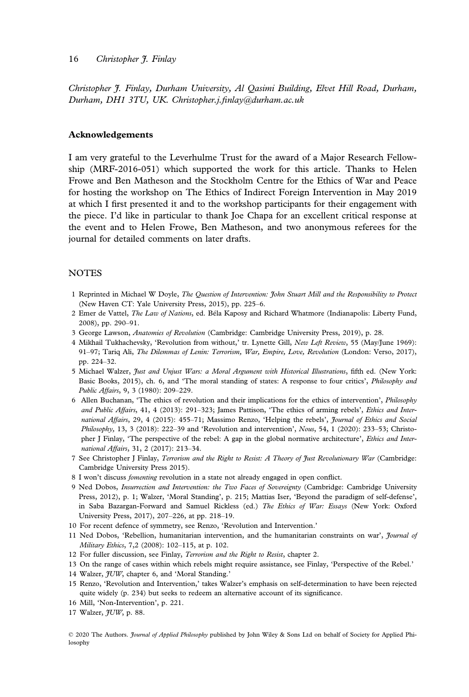Christopher J. Finlay, Durham University, Al Qasimi Building, Elvet Hill Road, Durham, Durham, DH1 3TU, UK. Christopher.j.finlay@durham.ac.uk

#### Acknowledgements

I am very grateful to the Leverhulme Trust for the award of a Major Research Fellowship (MRF-2016-051) which supported the work for this article. Thanks to Helen Frowe and Ben Matheson and the Stockholm Centre for the Ethics of War and Peace for hosting the workshop on The Ethics of Indirect Foreign Intervention in May 2019 at which I first presented it and to the workshop participants for their engagement with the piece. I'd like in particular to thank Joe Chapa for an excellent critical response at the event and to Helen Frowe, Ben Matheson, and two anonymous referees for the journal for detailed comments on later drafts.

#### NOTES

- 1 Reprinted in Michael W Doyle, The Question of Intervention: John Stuart Mill and the Responsibility to Protect (New Haven CT: Yale University Press, 2015), pp. 225–6.
- 2 Emer de Vattel, The Law of Nations, ed. Béla Kaposy and Richard Whatmore (Indianapolis: Liberty Fund, 2008), pp. 290–91.
- 3 George Lawson, Anatomies of Revolution (Cambridge: Cambridge University Press, 2019), p. 28.
- 4 Mikhail Tukhachevsky, 'Revolution from without,' tr. Lynette Gill, New Left Review, 55 (May/June 1969): 91–97; Tariq Ali, The Dilemmas of Lenin: Terrorism, War, Empire, Love, Revolution (London: Verso, 2017), pp. 224–32.
- 5 Michael Walzer, Just and Unjust Wars: a Moral Argument with Historical Illustrations, fifth ed. (New York: Basic Books, 2015), ch. 6, and 'The moral standing of states: A response to four critics', Philosophy and Public Affairs, 9, 3 (1980): 209–229.
- 6 Allen Buchanan, 'The ethics of revolution and their implications for the ethics of intervention', Philosophy and Public Affairs, 41, 4 (2013): 291–323; James Pattison, 'The ethics of arming rebels', Ethics and International Affairs, 29, 4 (2015): 455-71; Massimo Renzo, 'Helping the rebels', Journal of Ethics and Social Philosophy, 13, 3 (2018): 222–39 and 'Revolution and intervention', Nous, 54, 1 (2020): 233–53; Christopher J Finlay, 'The perspective of the rebel: A gap in the global normative architecture', Ethics and International Affairs, 31, 2 (2017): 213–34.
- 7 See Christopher J Finlay, Terrorism and the Right to Resist: A Theory of Just Revolutionary War (Cambridge: Cambridge University Press 2015).
- 8 I won't discuss fomenting revolution in a state not already engaged in open conflict.
- 9 Ned Dobos, Insurrection and Intervention: the Two Faces of Sovereignty (Cambridge: Cambridge University Press, 2012), p. 1; Walzer, 'Moral Standing', p. 215; Mattias Iser, 'Beyond the paradigm of self-defense', in Saba Bazargan-Forward and Samuel Rickless (ed.) The Ethics of War: Essays (New York: Oxford University Press, 2017), 207–226, at pp. 218–19.
- 10 For recent defence of symmetry, see Renzo, 'Revolution and Intervention.'
- 11 Ned Dobos, 'Rebellion, humanitarian intervention, and the humanitarian constraints on war', Journal of Military Ethics, 7,2 (2008): 102–115, at p. 102.
- 12 For fuller discussion, see Finlay, Terrorism and the Right to Resist, chapter 2.
- 13 On the range of cases within which rebels might require assistance, see Finlay, 'Perspective of the Rebel.'
- 14 Walzer, *JUW*, chapter 6, and 'Moral Standing.'
- 15 Renzo, 'Revolution and Intervention,' takes Walzer's emphasis on self-determination to have been rejected quite widely (p. 234) but seeks to redeem an alternative account of its significance.
- 16 Mill, 'Non-Intervention', p. 221.
- 17 Walzer,  $JUW$ , p. 88.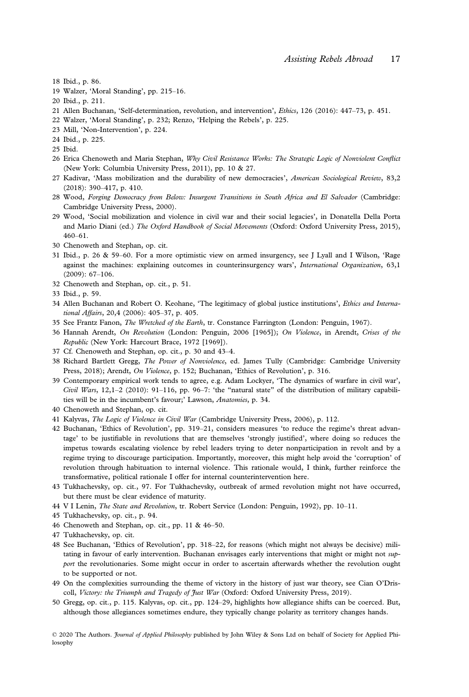- 18 Ibid., p. 86.
- 19 Walzer, 'Moral Standing', pp. 215–16.
- 20 Ibid., p. 211.
- 21 Allen Buchanan, 'Self-determination, revolution, and intervention', Ethics, 126 (2016): 447–73, p. 451.
- 22 Walzer, 'Moral Standing', p. 232; Renzo, 'Helping the Rebels', p. 225.
- 23 Mill, 'Non-Intervention', p. 224.
- 24 Ibid., p. 225.
- 25 Ibid.
- 26 Erica Chenoweth and Maria Stephan, Why Civil Resistance Works: The Strategic Logic of Nonviolent Conflict (New York: Columbia University Press, 2011), pp. 10 & 27.
- 27 Kadivar, 'Mass mobilization and the durability of new democracies', American Sociological Review, 83,2 (2018): 390–417, p. 410.
- 28 Wood, Forging Democracy from Below: Insurgent Transitions in South Africa and El Salvador (Cambridge: Cambridge University Press, 2000).
- 29 Wood, 'Social mobilization and violence in civil war and their social legacies', in Donatella Della Porta and Mario Diani (ed.) The Oxford Handbook of Social Movements (Oxford: Oxford University Press, 2015), 460–61.
- 30 Chenoweth and Stephan, op. cit.
- 31 Ibid., p. 26 & 59–60. For a more optimistic view on armed insurgency, see J Lyall and I Wilson, 'Rage against the machines: explaining outcomes in counterinsurgency wars', International Organization, 63,1 (2009): 67–106.
- 32 Chenoweth and Stephan, op. cit., p. 51.
- 33 Ibid., p. 59.
- 34 Allen Buchanan and Robert O. Keohane, 'The legitimacy of global justice institutions', Ethics and International Affairs, 20,4 (2006): 405–37, p. 405.
- 35 See Frantz Fanon, The Wretched of the Earth, tr. Constance Farrington (London: Penguin, 1967).
- 36 Hannah Arendt, On Revolution (London: Penguin, 2006 [1965]); On Violence, in Arendt, Crises of the Republic (New York: Harcourt Brace, 1972 [1969]).
- 37 Cf. Chenoweth and Stephan, op. cit., p. 30 and 43–4.
- 38 Richard Bartlett Gregg, The Power of Nonviolence, ed. James Tully (Cambridge: Cambridge University Press, 2018); Arendt, On Violence, p. 152; Buchanan, 'Ethics of Revolution', p. 316.
- 39 Contemporary empirical work tends to agree, e.g. Adam Lockyer, 'The dynamics of warfare in civil war', Civil Wars, 12,1–2 (2010): 91–116, pp. 96–7: 'the "natural state" of the distribution of military capabilities will be in the incumbent's favour;' Lawson, Anatomies, p. 34.
- 40 Chenoweth and Stephan, op. cit.
- 41 Kalyvas, The Logic of Violence in Civil War (Cambridge University Press, 2006), p. 112.
- 42 Buchanan, 'Ethics of Revolution', pp. 319–21, considers measures 'to reduce the regime's threat advantage' to be justifiable in revolutions that are themselves 'strongly justified', where doing so reduces the impetus towards escalating violence by rebel leaders trying to deter nonparticipation in revolt and by a regime trying to discourage participation. Importantly, moreover, this might help avoid the 'corruption' of revolution through habituation to internal violence. This rationale would, I think, further reinforce the transformative, political rationale I offer for internal counterintervention here.
- 43 Tukhachevsky, op. cit., 97. For Tukhachevsky, outbreak of armed revolution might not have occurred, but there must be clear evidence of maturity.
- 44 V I Lenin, The State and Revolution, tr. Robert Service (London: Penguin, 1992), pp. 10–11.
- 45 Tukhachevsky, op. cit., p. 94.
- 46 Chenoweth and Stephan, op. cit., pp. 11 & 46–50.
- 47 Tukhachevsky, op. cit.
- 48 See Buchanan, 'Ethics of Revolution', pp. 318–22, for reasons (which might not always be decisive) militating in favour of early intervention. Buchanan envisages early interventions that might or might not support the revolutionaries. Some might occur in order to ascertain afterwards whether the revolution ought to be supported or not.
- 49 On the complexities surrounding the theme of victory in the history of just war theory, see Cian O'Driscoll, Victory: the Triumph and Tragedy of Just War (Oxford: Oxford University Press, 2019).
- 50 Gregg, op. cit., p. 115. Kalyvas, op. cit., pp. 124–29, highlights how allegiance shifts can be coerced. But, although those allegiances sometimes endure, they typically change polarity as territory changes hands.